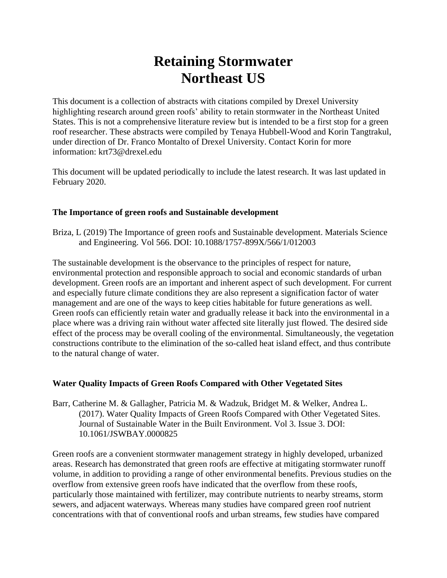# **Retaining Stormwater Northeast US**

This document is a collection of abstracts with citations compiled by Drexel University highlighting research around green roofs' ability to retain stormwater in the Northeast United States. This is not a comprehensive literature review but is intended to be a first stop for a green roof researcher. These abstracts were compiled by Tenaya Hubbell-Wood and Korin Tangtrakul, under direction of Dr. Franco Montalto of Drexel University. Contact Korin for more information: krt73@drexel.edu

This document will be updated periodically to include the latest research. It was last updated in February 2020.

## **The Importance of green roofs and Sustainable development**

Briza, L (2019) The Importance of green roofs and Sustainable development. Materials Science and Engineering. Vol 566. DOI: 10.1088/1757-899X/566/1/012003

The sustainable development is the observance to the principles of respect for nature, environmental protection and responsible approach to social and economic standards of urban development. Green roofs are an important and inherent aspect of such development. For current and especially future climate conditions they are also represent a signification factor of water management and are one of the ways to keep cities habitable for future generations as well. Green roofs can efficiently retain water and gradually release it back into the environmental in a place where was a driving rain without water affected site literally just flowed. The desired side effect of the process may be overall cooling of the environmental. Simultaneously, the vegetation constructions contribute to the elimination of the so-called heat island effect, and thus contribute to the natural change of water.

#### **Water Quality Impacts of Green Roofs Compared with Other Vegetated Sites**

Barr, Catherine M. & Gallagher, Patricia M. & Wadzuk, Bridget M. & Welker, Andrea L. (2017). Water Quality Impacts of Green Roofs Compared with Other Vegetated Sites. Journal of Sustainable Water in the Built Environment. Vol 3. Issue 3. DOI: 10.1061/JSWBAY.0000825

Green roofs are a convenient stormwater management strategy in highly developed, urbanized areas. Research has demonstrated that green roofs are effective at mitigating stormwater runoff volume, in addition to providing a range of other environmental benefits. Previous studies on the overflow from extensive green roofs have indicated that the overflow from these roofs, particularly those maintained with fertilizer, may contribute nutrients to nearby streams, storm sewers, and adjacent waterways. Whereas many studies have compared green roof nutrient concentrations with that of conventional roofs and urban streams, few studies have compared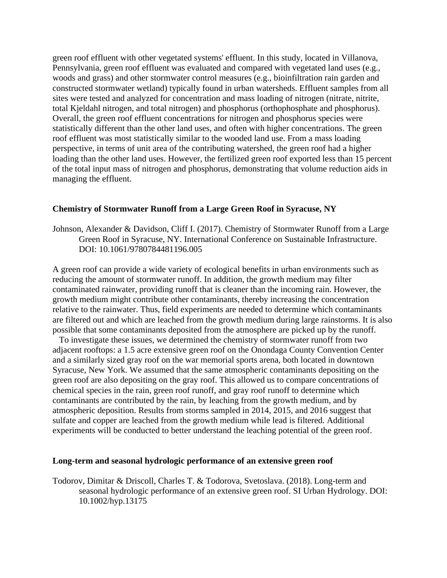green roof effluent with other vegetated systems' effluent. In this study, located in Villanova, Pennsylvania, green roof effluent was evaluated and compared with vegetated land uses (e.g., woods and grass) and other stormwater control measures (e.g., bioinfiltration rain garden and constructed stormwater wetland) typically found in urban watersheds. Effluent samples from all sites were tested and analyzed for concentration and mass loading of nitrogen (nitrate, nitrite, total Kjeldahl nitrogen, and total nitrogen) and phosphorus (orthophosphate and phosphorus). Overall, the green roof effluent concentrations for nitrogen and phosphorus species were statistically different than the other land uses, and often with higher concentrations. The green roof effluent was most statistically similar to the wooded land use. From a mass loading perspective, in terms of unit area of the contributing watershed, the green roof had a higher loading than the other land uses. However, the fertilized green roof exported less than 15 percent of the total input mass of nitrogen and phosphorus, demonstrating that volume reduction aids in managing the effluent.

#### **Chemistry of Stormwater Runoff from a Large Green Roof in Syracuse, NY**

Johnson, Alexander & Davidson, Cliff I. (2017). Chemistry of Stormwater Runoff from a Large Green Roof in Syracuse, NY. International Conference on Sustainable Infrastructure. DOI: 10.1061/9780784481196.005

A green roof can provide a wide variety of ecological benefits in urban environments such as reducing the amount of stormwater runoff. In addition, the growth medium may filter contaminated rainwater, providing runoff that is cleaner than the incoming rain. However, the growth medium might contribute other contaminants, thereby increasing the concentration relative to the rainwater. Thus, field experiments are needed to determine which contaminants are filtered out and which are leached from the growth medium during large rainstorms. It is also possible that some contaminants deposited from the atmosphere are picked up by the runoff.

 To investigate these issues, we determined the chemistry of stormwater runoff from two adjacent rooftops: a 1.5 acre extensive green roof on the Onondaga County Convention Center and a similarly sized gray roof on the war memorial sports arena, both located in downtown Syracuse, New York. We assumed that the same atmospheric contaminants depositing on the green roof are also depositing on the gray roof. This allowed us to compare concentrations of chemical species in the rain, green roof runoff, and gray roof runoff to determine which contaminants are contributed by the rain, by leaching from the growth medium, and by atmospheric deposition. Results from storms sampled in 2014, 2015, and 2016 suggest that sulfate and copper are leached from the growth medium while lead is filtered. Additional experiments will be conducted to better understand the leaching potential of the green roof.

#### **Long-term and seasonal hydrologic performance of an extensive green roof**

Todorov, Dimitar & Driscoll, Charles T. & Todorova, Svetoslava. (2018). Long-term and seasonal hydrologic performance of an extensive green roof. SI Urban Hydrology. DOI: 10.1002/hyp.13175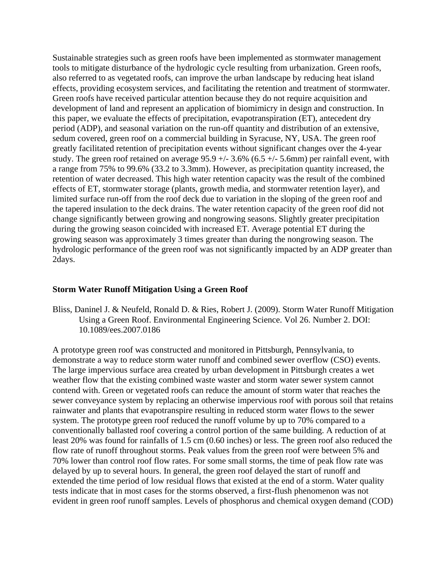Sustainable strategies such as green roofs have been implemented as stormwater management tools to mitigate disturbance of the hydrologic cycle resulting from urbanization. Green roofs, also referred to as vegetated roofs, can improve the urban landscape by reducing heat island effects, providing ecosystem services, and facilitating the retention and treatment of stormwater. Green roofs have received particular attention because they do not require acquisition and development of land and represent an application of biomimicry in design and construction. In this paper, we evaluate the effects of precipitation, evapotranspiration (ET), antecedent dry period (ADP), and seasonal variation on the run-off quantity and distribution of an extensive, sedum covered, green roof on a commercial building in Syracuse, NY, USA. The green roof greatly facilitated retention of precipitation events without significant changes over the 4-year study. The green roof retained on average  $95.9 +/- 3.6%$  (6.5  $+/- 5.6$ mm) per rainfall event, with a range from 75% to 99.6% (33.2 to 3.3mm). However, as precipitation quantity increased, the retention of water decreased. This high water retention capacity was the result of the combined effects of ET, stormwater storage (plants, growth media, and stormwater retention layer), and limited surface run-off from the roof deck due to variation in the sloping of the green roof and the tapered insulation to the deck drains. The water retention capacity of the green roof did not change significantly between growing and nongrowing seasons. Slightly greater precipitation during the growing season coincided with increased ET. Average potential ET during the growing season was approximately 3 times greater than during the nongrowing season. The hydrologic performance of the green roof was not significantly impacted by an ADP greater than 2days.

#### **Storm Water Runoff Mitigation Using a Green Roof**

Bliss, Daninel J. & Neufeld, Ronald D. & Ries, Robert J. (2009). Storm Water Runoff Mitigation Using a Green Roof. Environmental Engineering Science. Vol 26. Number 2. DOI: 10.1089/ees.2007.0186

A prototype green roof was constructed and monitored in Pittsburgh, Pennsylvania, to demonstrate a way to reduce storm water runoff and combined sewer overflow (CSO) events. The large impervious surface area created by urban development in Pittsburgh creates a wet weather flow that the existing combined waste waster and storm water sewer system cannot contend with. Green or vegetated roofs can reduce the amount of storm water that reaches the sewer conveyance system by replacing an otherwise impervious roof with porous soil that retains rainwater and plants that evapotranspire resulting in reduced storm water flows to the sewer system. The prototype green roof reduced the runoff volume by up to 70% compared to a conventionally ballasted roof covering a control portion of the same building. A reduction of at least 20% was found for rainfalls of 1.5 cm (0.60 inches) or less. The green roof also reduced the flow rate of runoff throughout storms. Peak values from the green roof were between 5% and 70% lower than control roof flow rates. For some small storms, the time of peak flow rate was delayed by up to several hours. In general, the green roof delayed the start of runoff and extended the time period of low residual flows that existed at the end of a storm. Water quality tests indicate that in most cases for the storms observed, a first-flush phenomenon was not evident in green roof runoff samples. Levels of phosphorus and chemical oxygen demand (COD)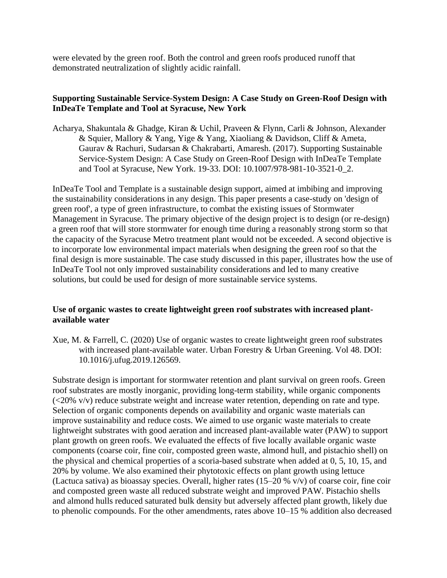were elevated by the green roof. Both the control and green roofs produced runoff that demonstrated neutralization of slightly acidic rainfall.

## **Supporting Sustainable Service-System Design: A Case Study on Green-Roof Design with InDeaTe Template and Tool at Syracuse, New York**

Acharya, Shakuntala & Ghadge, Kiran & Uchil, Praveen & Flynn, Carli & Johnson, Alexander & Squier, Mallory & Yang, Yige & Yang, Xiaoliang & Davidson, Cliff & Ameta, Gaurav & Rachuri, Sudarsan & Chakrabarti, Amaresh. (2017). Supporting Sustainable Service-System Design: A Case Study on Green-Roof Design with InDeaTe Template and Tool at Syracuse, New York. 19-33. DOI: 10.1007/978-981-10-3521-0\_2.

InDeaTe Tool and Template is a sustainable design support, aimed at imbibing and improving the sustainability considerations in any design. This paper presents a case-study on 'design of green roof', a type of green infrastructure, to combat the existing issues of Stormwater Management in Syracuse. The primary objective of the design project is to design (or re-design) a green roof that will store stormwater for enough time during a reasonably strong storm so that the capacity of the Syracuse Metro treatment plant would not be exceeded. A second objective is to incorporate low environmental impact materials when designing the green roof so that the final design is more sustainable. The case study discussed in this paper, illustrates how the use of InDeaTe Tool not only improved sustainability considerations and led to many creative solutions, but could be used for design of more sustainable service systems.

## **Use of organic wastes to create lightweight green roof substrates with increased plantavailable water**

Xue, M. & Farrell, C. (2020) Use of organic wastes to create lightweight green roof substrates with increased plant-available water. Urban Forestry & Urban Greening. Vol 48. DOI: 10.1016/j.ufug.2019.126569.

Substrate design is important for stormwater retention and plant survival on green roofs. Green roof substrates are mostly inorganic, providing long-term stability, while organic components (<20% v/v) reduce substrate weight and increase water retention, depending on rate and type. Selection of organic components depends on availability and organic waste materials can improve sustainability and reduce costs. We aimed to use organic waste materials to create lightweight substrates with good aeration and increased plant-available water (PAW) to support plant growth on green roofs. We evaluated the effects of five locally available organic waste components (coarse coir, fine coir, composted green waste, almond hull, and pistachio shell) on the physical and chemical properties of a scoria-based substrate when added at 0, 5, 10, 15, and 20% by volume. We also examined their phytotoxic effects on plant growth using lettuce (Lactuca sativa) as bioassay species. Overall, higher rates (15–20 % v/v) of coarse coir, fine coir and composted green waste all reduced substrate weight and improved PAW. Pistachio shells and almond hulls reduced saturated bulk density but adversely affected plant growth, likely due to phenolic compounds. For the other amendments, rates above 10–15 % addition also decreased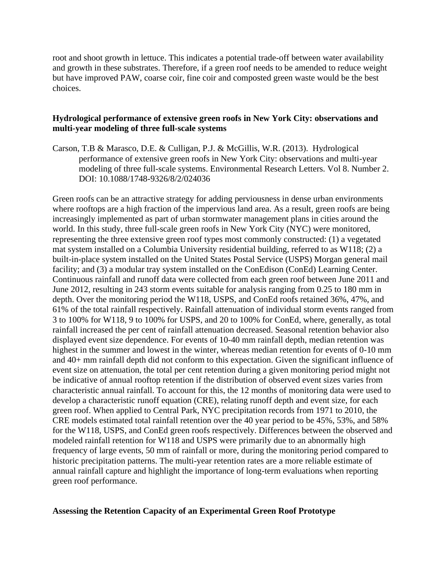root and shoot growth in lettuce. This indicates a potential trade-off between water availability and growth in these substrates. Therefore, if a green roof needs to be amended to reduce weight but have improved PAW, coarse coir, fine coir and composted green waste would be the best choices.

#### **Hydrological performance of extensive green roofs in New York City: observations and multi-year modeling of three full-scale systems**

Carson, T.B & Marasco, D.E. & Culligan, P.J. & McGillis, W.R. (2013). Hydrological performance of extensive green roofs in New York City: observations and multi-year modeling of three full-scale systems. Environmental Research Letters. Vol 8. Number 2. DOI: 10.1088/1748-9326/8/2/024036

Green roofs can be an attractive strategy for adding perviousness in dense urban environments where rooftops are a high fraction of the impervious land area. As a result, green roofs are being increasingly implemented as part of urban stormwater management plans in cities around the world. In this study, three full-scale green roofs in New York City (NYC) were monitored, representing the three extensive green roof types most commonly constructed: (1) a vegetated mat system installed on a Columbia University residential building, referred to as W118; (2) a built-in-place system installed on the United States Postal Service (USPS) Morgan general mail facility; and (3) a modular tray system installed on the ConEdison (ConEd) Learning Center. Continuous rainfall and runoff data were collected from each green roof between June 2011 and June 2012, resulting in 243 storm events suitable for analysis ranging from 0.25 to 180 mm in depth. Over the monitoring period the W118, USPS, and ConEd roofs retained 36%, 47%, and 61% of the total rainfall respectively. Rainfall attenuation of individual storm events ranged from 3 to 100% for W118, 9 to 100% for USPS, and 20 to 100% for ConEd, where, generally, as total rainfall increased the per cent of rainfall attenuation decreased. Seasonal retention behavior also displayed event size dependence. For events of 10-40 mm rainfall depth, median retention was highest in the summer and lowest in the winter, whereas median retention for events of 0-10 mm and 40+ mm rainfall depth did not conform to this expectation. Given the significant influence of event size on attenuation, the total per cent retention during a given monitoring period might not be indicative of annual rooftop retention if the distribution of observed event sizes varies from characteristic annual rainfall. To account for this, the 12 months of monitoring data were used to develop a characteristic runoff equation (CRE), relating runoff depth and event size, for each green roof. When applied to Central Park, NYC precipitation records from 1971 to 2010, the CRE models estimated total rainfall retention over the 40 year period to be 45%, 53%, and 58% for the W118, USPS, and ConEd green roofs respectively. Differences between the observed and modeled rainfall retention for W118 and USPS were primarily due to an abnormally high frequency of large events, 50 mm of rainfall or more, during the monitoring period compared to historic precipitation patterns. The multi-year retention rates are a more reliable estimate of annual rainfall capture and highlight the importance of long-term evaluations when reporting green roof performance.

## **Assessing the Retention Capacity of an Experimental Green Roof Prototype**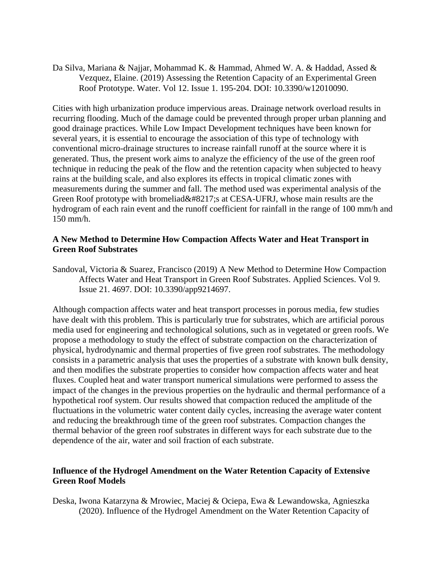Da Silva, Mariana & Najjar, Mohammad K. & Hammad, Ahmed W. A. & Haddad, Assed & Vezquez, Elaine. (2019) Assessing the Retention Capacity of an Experimental Green Roof Prototype. Water. Vol 12. Issue 1. 195-204. DOI: 10.3390/w12010090.

Cities with high urbanization produce impervious areas. Drainage network overload results in recurring flooding. Much of the damage could be prevented through proper urban planning and good drainage practices. While Low Impact Development techniques have been known for several years, it is essential to encourage the association of this type of technology with conventional micro-drainage structures to increase rainfall runoff at the source where it is generated. Thus, the present work aims to analyze the efficiency of the use of the green roof technique in reducing the peak of the flow and the retention capacity when subjected to heavy rains at the building scale, and also explores its effects in tropical climatic zones with measurements during the summer and fall. The method used was experimental analysis of the Green Roof prototype with bromeliad's at CESA-UFRJ, whose main results are the hydrogram of each rain event and the runoff coefficient for rainfall in the range of 100 mm/h and 150 mm/h.

#### **A New Method to Determine How Compaction Affects Water and Heat Transport in Green Roof Substrates**

Sandoval, Victoria & Suarez, Francisco (2019) A New Method to Determine How Compaction Affects Water and Heat Transport in Green Roof Substrates. Applied Sciences. Vol 9. Issue 21. 4697. DOI: 10.3390/app9214697.

Although compaction affects water and heat transport processes in porous media, few studies have dealt with this problem. This is particularly true for substrates, which are artificial porous media used for engineering and technological solutions, such as in vegetated or green roofs. We propose a methodology to study the effect of substrate compaction on the characterization of physical, hydrodynamic and thermal properties of five green roof substrates. The methodology consists in a parametric analysis that uses the properties of a substrate with known bulk density, and then modifies the substrate properties to consider how compaction affects water and heat fluxes. Coupled heat and water transport numerical simulations were performed to assess the impact of the changes in the previous properties on the hydraulic and thermal performance of a hypothetical roof system. Our results showed that compaction reduced the amplitude of the fluctuations in the volumetric water content daily cycles, increasing the average water content and reducing the breakthrough time of the green roof substrates. Compaction changes the thermal behavior of the green roof substrates in different ways for each substrate due to the dependence of the air, water and soil fraction of each substrate.

## **Influence of the Hydrogel Amendment on the Water Retention Capacity of Extensive Green Roof Models**

Deska, Iwona Katarzyna & Mrowiec, Maciej & Ociepa, Ewa & Lewandowska, Agnieszka (2020). Influence of the Hydrogel Amendment on the Water Retention Capacity of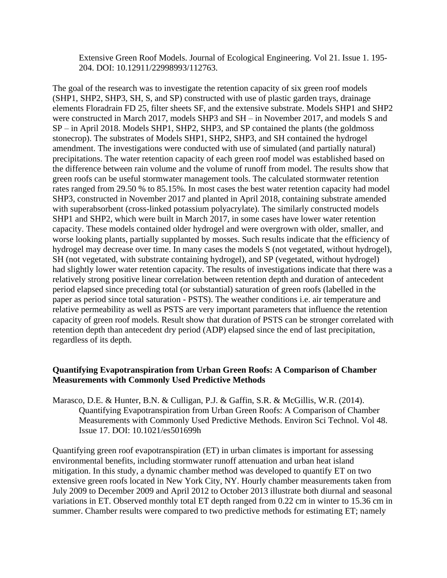Extensive Green Roof Models. Journal of Ecological Engineering. Vol 21. Issue 1. 195- 204. DOI: 10.12911/22998993/112763.

The goal of the research was to investigate the retention capacity of six green roof models (SHP1, SHP2, SHP3, SH, S, and SP) constructed with use of plastic garden trays, drainage elements Floradrain FD 25, filter sheets SF, and the extensive substrate. Models SHP1 and SHP2 were constructed in March 2017, models SHP3 and SH – in November 2017, and models S and SP – in April 2018. Models SHP1, SHP2, SHP3, and SP contained the plants (the goldmoss stonecrop). The substrates of Models SHP1, SHP2, SHP3, and SH contained the hydrogel amendment. The investigations were conducted with use of simulated (and partially natural) precipitations. The water retention capacity of each green roof model was established based on the difference between rain volume and the volume of runoff from model. The results show that green roofs can be useful stormwater management tools. The calculated stormwater retention rates ranged from 29.50 % to 85.15%. In most cases the best water retention capacity had model SHP3, constructed in November 2017 and planted in April 2018, containing substrate amended with superabsorbent (cross-linked potassium polyacrylate). The similarly constructed models SHP1 and SHP2, which were built in March 2017, in some cases have lower water retention capacity. These models contained older hydrogel and were overgrown with older, smaller, and worse looking plants, partially supplanted by mosses. Such results indicate that the efficiency of hydrogel may decrease over time. In many cases the models S (not vegetated, without hydrogel), SH (not vegetated, with substrate containing hydrogel), and SP (vegetated, without hydrogel) had slightly lower water retention capacity. The results of investigations indicate that there was a relatively strong positive linear correlation between retention depth and duration of antecedent period elapsed since preceding total (or substantial) saturation of green roofs (labelled in the paper as period since total saturation - PSTS). The weather conditions i.e. air temperature and relative permeability as well as PSTS are very important parameters that influence the retention capacity of green roof models. Result show that duration of PSTS can be stronger correlated with retention depth than antecedent dry period (ADP) elapsed since the end of last precipitation, regardless of its depth.

#### **Quantifying Evapotranspiration from Urban Green Roofs: A Comparison of Chamber Measurements with Commonly Used Predictive Methods**

Marasco, D.E. & Hunter, B.N. & Culligan, P.J. & Gaffin, S.R. & McGillis, W.R. (2014). Quantifying Evapotranspiration from Urban Green Roofs: A Comparison of Chamber Measurements with Commonly Used Predictive Methods. Environ Sci Technol. Vol 48. Issue 17. DOI: 10.1021/es501699h

Quantifying green roof evapotranspiration (ET) in urban climates is important for assessing environmental benefits, including stormwater runoff attenuation and urban heat island mitigation. In this study, a dynamic chamber method was developed to quantify ET on two extensive green roofs located in New York City, NY. Hourly chamber measurements taken from July 2009 to December 2009 and April 2012 to October 2013 illustrate both diurnal and seasonal variations in ET. Observed monthly total ET depth ranged from 0.22 cm in winter to 15.36 cm in summer. Chamber results were compared to two predictive methods for estimating ET; namely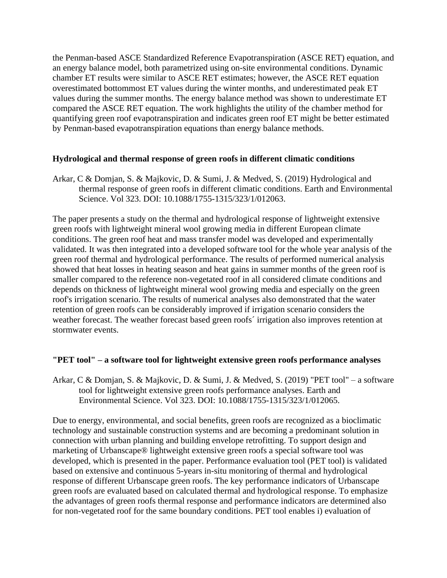the Penman-based ASCE Standardized Reference Evapotranspiration (ASCE RET) equation, and an energy balance model, both parametrized using on-site environmental conditions. Dynamic chamber ET results were similar to ASCE RET estimates; however, the ASCE RET equation overestimated bottommost ET values during the winter months, and underestimated peak ET values during the summer months. The energy balance method was shown to underestimate ET compared the ASCE RET equation. The work highlights the utility of the chamber method for quantifying green roof evapotranspiration and indicates green roof ET might be better estimated by Penman-based evapotranspiration equations than energy balance methods.

## **Hydrological and thermal response of green roofs in different climatic conditions**

Arkar, C & Domjan, S. & Majkovic, D. & Sumi, J. & Medved, S. (2019) Hydrological and thermal response of green roofs in different climatic conditions. Earth and Environmental Science. Vol 323. DOI: 10.1088/1755-1315/323/1/012063.

The paper presents a study on the thermal and hydrological response of lightweight extensive green roofs with lightweight mineral wool growing media in different European climate conditions. The green roof heat and mass transfer model was developed and experimentally validated. It was then integrated into a developed software tool for the whole year analysis of the green roof thermal and hydrological performance. The results of performed numerical analysis showed that heat losses in heating season and heat gains in summer months of the green roof is smaller compared to the reference non-vegetated roof in all considered climate conditions and depends on thickness of lightweight mineral wool growing media and especially on the green roof's irrigation scenario. The results of numerical analyses also demonstrated that the water retention of green roofs can be considerably improved if irrigation scenario considers the weather forecast. The weather forecast based green roofs´ irrigation also improves retention at stormwater events.

#### **"PET tool" – a software tool for lightweight extensive green roofs performance analyses**

Arkar, C & Domjan, S. & Majkovic, D. & Sumi, J. & Medved, S. (2019) "PET tool" – a software tool for lightweight extensive green roofs performance analyses. Earth and Environmental Science. Vol 323. DOI: 10.1088/1755-1315/323/1/012065.

Due to energy, environmental, and social benefits, green roofs are recognized as a bioclimatic technology and sustainable construction systems and are becoming a predominant solution in connection with urban planning and building envelope retrofitting. To support design and marketing of Urbanscape® lightweight extensive green roofs a special software tool was developed, which is presented in the paper. Performance evaluation tool (PET tool) is validated based on extensive and continuous 5-years in-situ monitoring of thermal and hydrological response of different Urbanscape green roofs. The key performance indicators of Urbanscape green roofs are evaluated based on calculated thermal and hydrological response. To emphasize the advantages of green roofs thermal response and performance indicators are determined also for non-vegetated roof for the same boundary conditions. PET tool enables i) evaluation of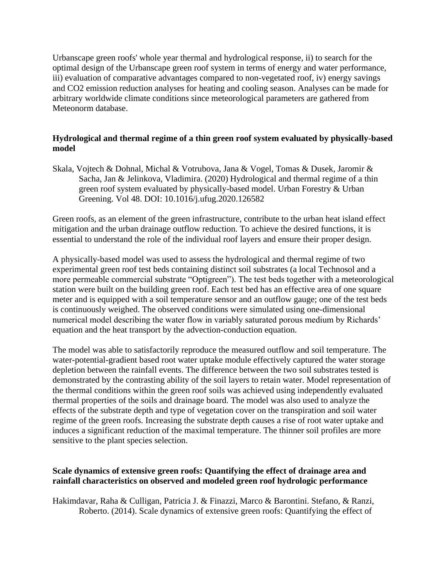Urbanscape green roofs' whole year thermal and hydrological response, ii) to search for the optimal design of the Urbanscape green roof system in terms of energy and water performance, iii) evaluation of comparative advantages compared to non-vegetated roof, iv) energy savings and CO2 emission reduction analyses for heating and cooling season. Analyses can be made for arbitrary worldwide climate conditions since meteorological parameters are gathered from Meteonorm database.

## **Hydrological and thermal regime of a thin green roof system evaluated by physically-based model**

Skala, Vojtech & Dohnal, Michal & Votrubova, Jana & Vogel, Tomas & Dusek, Jaromir & Sacha, Jan & Jelinkova, Vladimira. (2020) Hydrological and thermal regime of a thin green roof system evaluated by physically-based model. Urban Forestry & Urban Greening. Vol 48. DOI: 10.1016/j.ufug.2020.126582

Green roofs, as an element of the green infrastructure, contribute to the urban heat island effect mitigation and the urban drainage outflow reduction. To achieve the desired functions, it is essential to understand the role of the individual roof layers and ensure their proper design.

A physically-based model was used to assess the hydrological and thermal regime of two experimental green roof test beds containing distinct soil substrates (a local Technosol and a more permeable commercial substrate "Optigreen"). The test beds together with a meteorological station were built on the building green roof. Each test bed has an effective area of one square meter and is equipped with a soil temperature sensor and an outflow gauge; one of the test beds is continuously weighed. The observed conditions were simulated using one-dimensional numerical model describing the water flow in variably saturated porous medium by Richards' equation and the heat transport by the advection-conduction equation.

The model was able to satisfactorily reproduce the measured outflow and soil temperature. The water-potential-gradient based root water uptake module effectively captured the water storage depletion between the rainfall events. The difference between the two soil substrates tested is demonstrated by the contrasting ability of the soil layers to retain water. Model representation of the thermal conditions within the green roof soils was achieved using independently evaluated thermal properties of the soils and drainage board. The model was also used to analyze the effects of the substrate depth and type of vegetation cover on the transpiration and soil water regime of the green roofs. Increasing the substrate depth causes a rise of root water uptake and induces a significant reduction of the maximal temperature. The thinner soil profiles are more sensitive to the plant species selection.

## **Scale dynamics of extensive green roofs: Quantifying the effect of drainage area and rainfall characteristics on observed and modeled green roof hydrologic performance**

Hakimdavar, Raha & Culligan, Patricia J. & Finazzi, Marco & Barontini. Stefano, & Ranzi, Roberto. (2014). Scale dynamics of extensive green roofs: Quantifying the effect of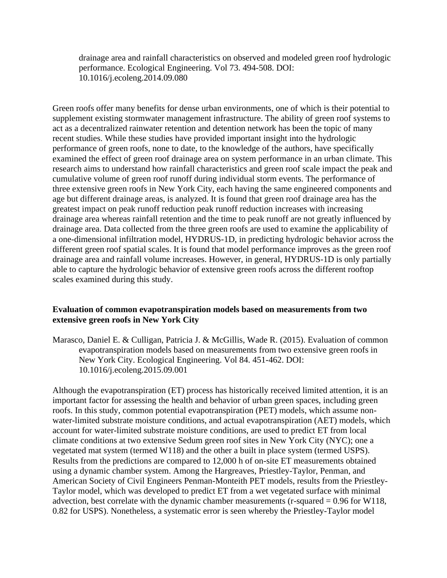drainage area and rainfall characteristics on observed and modeled green roof hydrologic performance. Ecological Engineering. Vol 73. 494-508. DOI: 10.1016/j.ecoleng.2014.09.080

Green roofs offer many benefits for dense urban environments, one of which is their potential to supplement existing stormwater management infrastructure. The ability of green roof systems to act as a decentralized rainwater retention and detention network has been the topic of many recent studies. While these studies have provided important insight into the hydrologic performance of green roofs, none to date, to the knowledge of the authors, have specifically examined the effect of green roof drainage area on system performance in an urban climate. This research aims to understand how rainfall characteristics and green roof scale impact the peak and cumulative volume of green roof runoff during individual storm events. The performance of three extensive green roofs in New York City, each having the same engineered components and age but different drainage areas, is analyzed. It is found that green roof drainage area has the greatest impact on peak runoff reduction peak runoff reduction increases with increasing drainage area whereas rainfall retention and the time to peak runoff are not greatly influenced by drainage area. Data collected from the three green roofs are used to examine the applicability of a one-dimensional infiltration model, HYDRUS-1D, in predicting hydrologic behavior across the different green roof spatial scales. It is found that model performance improves as the green roof drainage area and rainfall volume increases. However, in general, HYDRUS-1D is only partially able to capture the hydrologic behavior of extensive green roofs across the different rooftop scales examined during this study.

#### **Evaluation of common evapotranspiration models based on measurements from two extensive green roofs in New York City**

Marasco, Daniel E. & Culligan, Patricia J. & McGillis, Wade R. (2015). Evaluation of common evapotranspiration models based on measurements from two extensive green roofs in New York City. Ecological Engineering. Vol 84. 451-462. DOI: 10.1016/j.ecoleng.2015.09.001

Although the evapotranspiration (ET) process has historically received limited attention, it is an important factor for assessing the health and behavior of urban green spaces, including green roofs. In this study, common potential evapotranspiration (PET) models, which assume nonwater-limited substrate moisture conditions, and actual evapotranspiration (AET) models, which account for water-limited substrate moisture conditions, are used to predict ET from local climate conditions at two extensive Sedum green roof sites in New York City (NYC); one a vegetated mat system (termed W118) and the other a built in place system (termed USPS). Results from the predictions are compared to 12,000 h of on-site ET measurements obtained using a dynamic chamber system. Among the Hargreaves, Priestley-Taylor, Penman, and American Society of Civil Engineers Penman-Monteith PET models, results from the Priestley-Taylor model, which was developed to predict ET from a wet vegetated surface with minimal advection, best correlate with the dynamic chamber measurements ( $r$ -squared = 0.96 for W118, 0.82 for USPS). Nonetheless, a systematic error is seen whereby the Priestley-Taylor model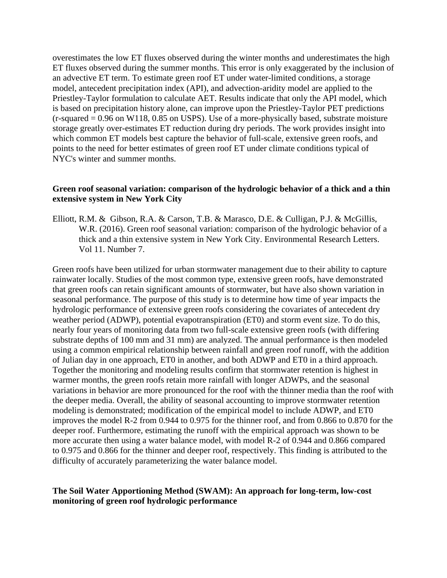overestimates the low ET fluxes observed during the winter months and underestimates the high ET fluxes observed during the summer months. This error is only exaggerated by the inclusion of an advective ET term. To estimate green roof ET under water-limited conditions, a storage model, antecedent precipitation index (API), and advection-aridity model are applied to the Priestley-Taylor formulation to calculate AET. Results indicate that only the API model, which is based on precipitation history alone, can improve upon the Priestley-Taylor PET predictions  $(r-squared = 0.96$  on W118, 0.85 on USPS). Use of a more-physically based, substrate moisture storage greatly over-estimates ET reduction during dry periods. The work provides insight into which common ET models best capture the behavior of full-scale, extensive green roofs, and points to the need for better estimates of green roof ET under climate conditions typical of NYC's winter and summer months.

## **Green roof seasonal variation: comparison of the hydrologic behavior of a thick and a thin extensive system in New York City**

Elliott, R.M. & Gibson, R.A. & Carson, T.B. & Marasco, D.E. & Culligan, P.J. & McGillis, W.R. (2016). Green roof seasonal variation: comparison of the hydrologic behavior of a thick and a thin extensive system in New York City. Environmental Research Letters. Vol 11. Number 7.

Green roofs have been utilized for urban stormwater management due to their ability to capture rainwater locally. Studies of the most common type, extensive green roofs, have demonstrated that green roofs can retain significant amounts of stormwater, but have also shown variation in seasonal performance. The purpose of this study is to determine how time of year impacts the hydrologic performance of extensive green roofs considering the covariates of antecedent dry weather period (ADWP), potential evapotranspiration (ET0) and storm event size. To do this, nearly four years of monitoring data from two full-scale extensive green roofs (with differing substrate depths of 100 mm and 31 mm) are analyzed. The annual performance is then modeled using a common empirical relationship between rainfall and green roof runoff, with the addition of Julian day in one approach, ET0 in another, and both ADWP and ET0 in a third approach. Together the monitoring and modeling results confirm that stormwater retention is highest in warmer months, the green roofs retain more rainfall with longer ADWPs, and the seasonal variations in behavior are more pronounced for the roof with the thinner media than the roof with the deeper media. Overall, the ability of seasonal accounting to improve stormwater retention modeling is demonstrated; modification of the empirical model to include ADWP, and ET0 improves the model R-2 from 0.944 to 0.975 for the thinner roof, and from 0.866 to 0.870 for the deeper roof. Furthermore, estimating the runoff with the empirical approach was shown to be more accurate then using a water balance model, with model R-2 of 0.944 and 0.866 compared to 0.975 and 0.866 for the thinner and deeper roof, respectively. This finding is attributed to the difficulty of accurately parameterizing the water balance model.

## **The Soil Water Apportioning Method (SWAM): An approach for long-term, low-cost monitoring of green roof hydrologic performance**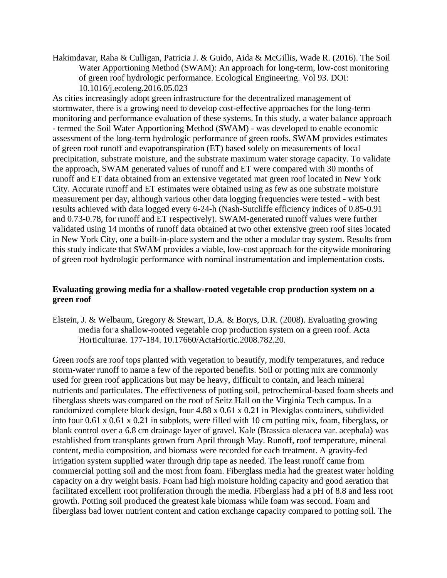Hakimdavar, Raha & Culligan, Patricia J. & Guido, Aida & McGillis, Wade R. (2016). The Soil Water Apportioning Method (SWAM): An approach for long-term, low-cost monitoring of green roof hydrologic performance. Ecological Engineering. Vol 93. DOI: 10.1016/j.ecoleng.2016.05.023

As cities increasingly adopt green infrastructure for the decentralized management of stormwater, there is a growing need to develop cost-effective approaches for the long-term monitoring and performance evaluation of these systems. In this study, a water balance approach - termed the Soil Water Apportioning Method (SWAM) - was developed to enable economic assessment of the long-term hydrologic performance of green roofs. SWAM provides estimates of green roof runoff and evapotranspiration (ET) based solely on measurements of local precipitation, substrate moisture, and the substrate maximum water storage capacity. To validate the approach, SWAM generated values of runoff and ET were compared with 30 months of runoff and ET data obtained from an extensive vegetated mat green roof located in New York City. Accurate runoff and ET estimates were obtained using as few as one substrate moisture measurement per day, although various other data logging frequencies were tested - with best results achieved with data logged every 6-24-h (Nash-Sutcliffe efficiency indices of 0.85-0.91 and 0.73-0.78, for runoff and ET respectively). SWAM-generated runoff values were further validated using 14 months of runoff data obtained at two other extensive green roof sites located in New York City, one a built-in-place system and the other a modular tray system. Results from this study indicate that SWAM provides a viable, low-cost approach for the citywide monitoring of green roof hydrologic performance with nominal instrumentation and implementation costs.

## **Evaluating growing media for a shallow-rooted vegetable crop production system on a green roof**

Elstein, J. & Welbaum, Gregory & Stewart, D.A. & Borys, D.R. (2008). Evaluating growing media for a shallow-rooted vegetable crop production system on a green roof. Acta Horticulturae. 177-184. 10.17660/ActaHortic.2008.782.20.

Green roofs are roof tops planted with vegetation to beautify, modify temperatures, and reduce storm-water runoff to name a few of the reported benefits. Soil or potting mix are commonly used for green roof applications but may be heavy, difficult to contain, and leach mineral nutrients and particulates. The effectiveness of potting soil, petrochemical-based foam sheets and fiberglass sheets was compared on the roof of Seitz Hall on the Virginia Tech campus. In a randomized complete block design, four 4.88 x 0.61 x 0.21 in Plexiglas containers, subdivided into four 0.61 x 0.61 x 0.21 in subplots, were filled with 10 cm potting mix, foam, fiberglass, or blank control over a 6.8 cm drainage layer of gravel. Kale (Brassica oleracea var. acephala) was established from transplants grown from April through May. Runoff, roof temperature, mineral content, media composition, and biomass were recorded for each treatment. A gravity-fed irrigation system supplied water through drip tape as needed. The least runoff came from commercial potting soil and the most from foam. Fiberglass media had the greatest water holding capacity on a dry weight basis. Foam had high moisture holding capacity and good aeration that facilitated excellent root proliferation through the media. Fiberglass had a pH of 8.8 and less root growth. Potting soil produced the greatest kale biomass while foam was second. Foam and fiberglass bad lower nutrient content and cation exchange capacity compared to potting soil. The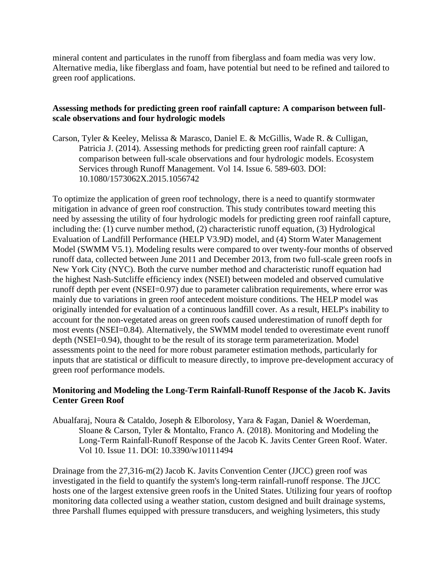mineral content and particulates in the runoff from fiberglass and foam media was very low. Alternative media, like fiberglass and foam, have potential but need to be refined and tailored to green roof applications.

## **Assessing methods for predicting green roof rainfall capture: A comparison between fullscale observations and four hydrologic models**

Carson, Tyler & Keeley, Melissa & Marasco, Daniel E. & McGillis, Wade R. & Culligan, Patricia J. (2014). Assessing methods for predicting green roof rainfall capture: A comparison between full-scale observations and four hydrologic models. Ecosystem Services through Runoff Management. Vol 14. Issue 6. 589-603. DOI: 10.1080/1573062X.2015.1056742

To optimize the application of green roof technology, there is a need to quantify stormwater mitigation in advance of green roof construction. This study contributes toward meeting this need by assessing the utility of four hydrologic models for predicting green roof rainfall capture, including the: (1) curve number method, (2) characteristic runoff equation, (3) Hydrological Evaluation of Landfill Performance (HELP V3.9D) model, and (4) Storm Water Management Model (SWMM V5.1). Modeling results were compared to over twenty-four months of observed runoff data, collected between June 2011 and December 2013, from two full-scale green roofs in New York City (NYC). Both the curve number method and characteristic runoff equation had the highest Nash-Sutcliffe efficiency index (NSEI) between modeled and observed cumulative runoff depth per event (NSEI=0.97) due to parameter calibration requirements, where error was mainly due to variations in green roof antecedent moisture conditions. The HELP model was originally intended for evaluation of a continuous landfill cover. As a result, HELP's inability to account for the non-vegetated areas on green roofs caused underestimation of runoff depth for most events (NSEI=0.84). Alternatively, the SWMM model tended to overestimate event runoff depth (NSEI=0.94), thought to be the result of its storage term parameterization. Model assessments point to the need for more robust parameter estimation methods, particularly for inputs that are statistical or difficult to measure directly, to improve pre-development accuracy of green roof performance models.

## **Monitoring and Modeling the Long-Term Rainfall-Runoff Response of the Jacob K. Javits Center Green Roof**

Abualfaraj, Noura & Cataldo, Joseph & Elborolosy, Yara & Fagan, Daniel & Woerdeman, Sloane & Carson, Tyler & Montalto, Franco A. (2018). Monitoring and Modeling the Long-Term Rainfall-Runoff Response of the Jacob K. Javits Center Green Roof. Water. Vol 10. Issue 11. DOI: 10.3390/w10111494

Drainage from the 27,316-m(2) Jacob K. Javits Convention Center (JJCC) green roof was investigated in the field to quantify the system's long-term rainfall-runoff response. The JJCC hosts one of the largest extensive green roofs in the United States. Utilizing four years of rooftop monitoring data collected using a weather station, custom designed and built drainage systems, three Parshall flumes equipped with pressure transducers, and weighing lysimeters, this study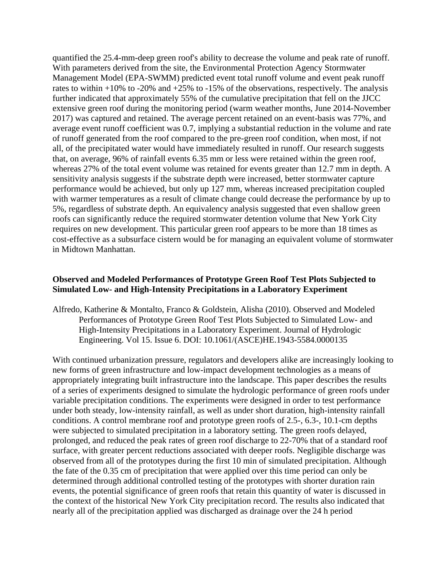quantified the 25.4-mm-deep green roof's ability to decrease the volume and peak rate of runoff. With parameters derived from the site, the Environmental Protection Agency Stormwater Management Model (EPA-SWMM) predicted event total runoff volume and event peak runoff rates to within  $+10\%$  to  $-20\%$  and  $+25\%$  to  $-15\%$  of the observations, respectively. The analysis further indicated that approximately 55% of the cumulative precipitation that fell on the JJCC extensive green roof during the monitoring period (warm weather months, June 2014-November 2017) was captured and retained. The average percent retained on an event-basis was 77%, and average event runoff coefficient was 0.7, implying a substantial reduction in the volume and rate of runoff generated from the roof compared to the pre-green roof condition, when most, if not all, of the precipitated water would have immediately resulted in runoff. Our research suggests that, on average, 96% of rainfall events 6.35 mm or less were retained within the green roof, whereas 27% of the total event volume was retained for events greater than 12.7 mm in depth. A sensitivity analysis suggests if the substrate depth were increased, better stormwater capture performance would be achieved, but only up 127 mm, whereas increased precipitation coupled with warmer temperatures as a result of climate change could decrease the performance by up to 5%, regardless of substrate depth. An equivalency analysis suggested that even shallow green roofs can significantly reduce the required stormwater detention volume that New York City requires on new development. This particular green roof appears to be more than 18 times as cost-effective as a subsurface cistern would be for managing an equivalent volume of stormwater in Midtown Manhattan.

#### **Observed and Modeled Performances of Prototype Green Roof Test Plots Subjected to Simulated Low- and High-Intensity Precipitations in a Laboratory Experiment**

Alfredo, Katherine & Montalto, Franco & Goldstein, Alisha (2010). Observed and Modeled Performances of Prototype Green Roof Test Plots Subjected to Simulated Low- and High-Intensity Precipitations in a Laboratory Experiment. Journal of Hydrologic Engineering. Vol 15. Issue 6. DOI: 10.1061/(ASCE)HE.1943-5584.0000135

With continued urbanization pressure, regulators and developers alike are increasingly looking to new forms of green infrastructure and low-impact development technologies as a means of appropriately integrating built infrastructure into the landscape. This paper describes the results of a series of experiments designed to simulate the hydrologic performance of green roofs under variable precipitation conditions. The experiments were designed in order to test performance under both steady, low-intensity rainfall, as well as under short duration, high-intensity rainfall conditions. A control membrane roof and prototype green roofs of 2.5-, 6.3-, 10.1-cm depths were subjected to simulated precipitation in a laboratory setting. The green roofs delayed, prolonged, and reduced the peak rates of green roof discharge to 22-70% that of a standard roof surface, with greater percent reductions associated with deeper roofs. Negligible discharge was observed from all of the prototypes during the first 10 min of simulated precipitation. Although the fate of the 0.35 cm of precipitation that were applied over this time period can only be determined through additional controlled testing of the prototypes with shorter duration rain events, the potential significance of green roofs that retain this quantity of water is discussed in the context of the historical New York City precipitation record. The results also indicated that nearly all of the precipitation applied was discharged as drainage over the 24 h period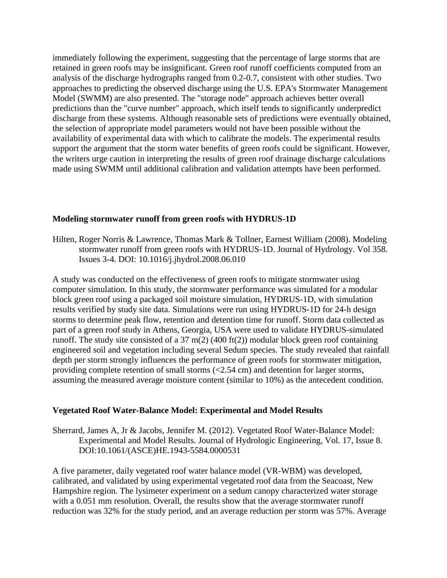immediately following the experiment, suggesting that the percentage of large storms that are retained in green roofs may be insignificant. Green roof runoff coefficients computed from an analysis of the discharge hydrographs ranged from 0.2-0.7, consistent with other studies. Two approaches to predicting the observed discharge using the U.S. EPA's Stormwater Management Model (SWMM) are also presented. The "storage node" approach achieves better overall predictions than the "curve number" approach, which itself tends to significantly underpredict discharge from these systems. Although reasonable sets of predictions were eventually obtained, the selection of appropriate model parameters would not have been possible without the availability of experimental data with which to calibrate the models. The experimental results support the argument that the storm water benefits of green roofs could be significant. However, the writers urge caution in interpreting the results of green roof drainage discharge calculations made using SWMM until additional calibration and validation attempts have been performed.

#### **Modeling stormwater runoff from green roofs with HYDRUS-1D**

Hilten, Roger Norris & Lawrence, Thomas Mark & Tollner, Earnest William (2008). Modeling stormwater runoff from green roofs with HYDRUS-1D. Journal of Hydrology. Vol 358. Issues 3-4. DOI: 10.1016/j.jhydrol.2008.06.010

A study was conducted on the effectiveness of green roofs to mitigate stormwater using computer simulation. In this study, the stormwater performance was simulated for a modular block green roof using a packaged soil moisture simulation, HYDRUS-1D, with simulation results verified by study site data. Simulations were run using HYDRUS-1D for 24-h design storms to determine peak flow, retention and detention time for runoff. Storm data collected as part of a green roof study in Athens, Georgia, USA were used to validate HYDRUS-simulated runoff. The study site consisted of a 37 m(2) (400 ft(2)) modular block green roof containing engineered soil and vegetation including several Sedum species. The study revealed that rainfall depth per storm strongly influences the performance of green roofs for stormwater mitigation, providing complete retention of small storms (<2.54 cm) and detention for larger storms, assuming the measured average moisture content (similar to 10%) as the antecedent condition.

#### **Vegetated Roof Water-Balance Model: Experimental and Model Results**

Sherrard, James A, Jr & Jacobs, Jennifer M. (2012). Vegetated Roof Water-Balance Model: Experimental and Model Results. Journal of Hydrologic Engineering, Vol. 17, Issue 8. DOI:10.1061/(ASCE)HE.1943-5584.0000531

A five parameter, daily vegetated roof water balance model (VR-WBM) was developed, calibrated, and validated by using experimental vegetated roof data from the Seacoast, New Hampshire region. The lysimeter experiment on a sedum canopy characterized water storage with a 0.051 mm resolution. Overall, the results show that the average stormwater runoff reduction was 32% for the study period, and an average reduction per storm was 57%. Average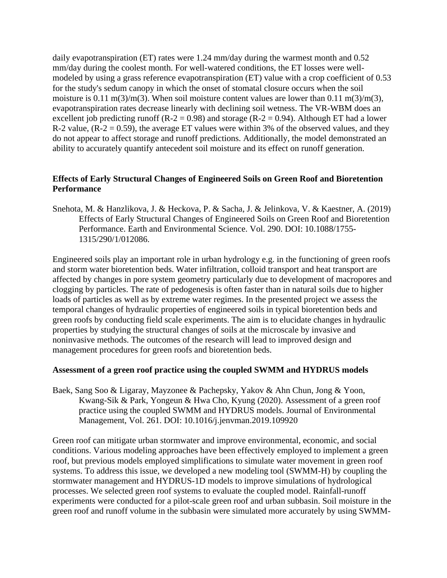daily evapotranspiration (ET) rates were 1.24 mm/day during the warmest month and 0.52 mm/day during the coolest month. For well-watered conditions, the ET losses were wellmodeled by using a grass reference evapotranspiration (ET) value with a crop coefficient of 0.53 for the study's sedum canopy in which the onset of stomatal closure occurs when the soil moisture is 0.11 m(3)/m(3). When soil moisture content values are lower than 0.11 m(3)/m(3), evapotranspiration rates decrease linearly with declining soil wetness. The VR-WBM does an excellent job predicting runoff ( $R - 2 = 0.98$ ) and storage ( $R - 2 = 0.94$ ). Although ET had a lower R-2 value,  $(R-2 = 0.59)$ , the average ET values were within 3% of the observed values, and they do not appear to affect storage and runoff predictions. Additionally, the model demonstrated an ability to accurately quantify antecedent soil moisture and its effect on runoff generation.

## **Effects of Early Structural Changes of Engineered Soils on Green Roof and Bioretention Performance**

Snehota, M. & Hanzlikova, J. & Heckova, P. & Sacha, J. & Jelinkova, V. & Kaestner, A. (2019) Effects of Early Structural Changes of Engineered Soils on Green Roof and Bioretention Performance. Earth and Environmental Science. Vol. 290. DOI: 10.1088/1755- 1315/290/1/012086.

Engineered soils play an important role in urban hydrology e.g. in the functioning of green roofs and storm water bioretention beds. Water infiltration, colloid transport and heat transport are affected by changes in pore system geometry particularly due to development of macropores and clogging by particles. The rate of pedogenesis is often faster than in natural soils due to higher loads of particles as well as by extreme water regimes. In the presented project we assess the temporal changes of hydraulic properties of engineered soils in typical bioretention beds and green roofs by conducting field scale experiments. The aim is to elucidate changes in hydraulic properties by studying the structural changes of soils at the microscale by invasive and noninvasive methods. The outcomes of the research will lead to improved design and management procedures for green roofs and bioretention beds.

#### **Assessment of a green roof practice using the coupled SWMM and HYDRUS models**

Baek, Sang Soo & Ligaray, Mayzonee & Pachepsky, Yakov & Ahn Chun, Jong & Yoon, Kwang-Sik & Park, Yongeun & Hwa Cho, Kyung (2020). Assessment of a green roof practice using the coupled SWMM and HYDRUS models. Journal of Environmental Management, Vol. 261. DOI: 10.1016/j.jenvman.2019.109920

Green roof can mitigate urban stormwater and improve environmental, economic, and social conditions. Various modeling approaches have been effectively employed to implement a green roof, but previous models employed simplifications to simulate water movement in green roof systems. To address this issue, we developed a new modeling tool (SWMM-H) by coupling the stormwater management and HYDRUS-1D models to improve simulations of hydrological processes. We selected green roof systems to evaluate the coupled model. Rainfall-runoff experiments were conducted for a pilot-scale green roof and urban subbasin. Soil moisture in the green roof and runoff volume in the subbasin were simulated more accurately by using SWMM-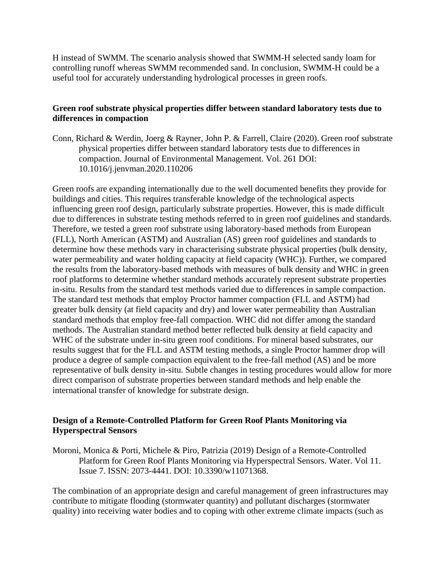H instead of SWMM. The scenario analysis showed that SWMM-H selected sandy loam for controlling runoff whereas SWMM recommended sand. In conclusion, SWMM-H could be a useful tool for accurately understanding hydrological processes in green roofs.

## **Green roof substrate physical properties differ between standard laboratory tests due to differences in compaction**

Conn, Richard & Werdin, Joerg & Rayner, John P. & Farrell, Claire (2020). Green roof substrate physical properties differ between standard laboratory tests due to differences in compaction. Journal of Environmental Management. Vol. 261 DOI: 10.1016/j.jenvman.2020.110206

Green roofs are expanding internationally due to the well documented benefits they provide for buildings and cities. This requires transferable knowledge of the technological aspects influencing green roof design, particularly substrate properties. However, this is made difficult due to differences in substrate testing methods referred to in green roof guidelines and standards. Therefore, we tested a green roof substrate using laboratory-based methods from European (FLL), North American (ASTM) and Australian (AS) green roof guidelines and standards to determine how these methods vary in characterising substrate physical properties (bulk density, water permeability and water holding capacity at field capacity (WHC)). Further, we compared the results from the laboratory-based methods with measures of bulk density and WHC in green roof platforms to determine whether standard methods accurately represent substrate properties in-situ. Results from the standard test methods varied due to differences in sample compaction. The standard test methods that employ Proctor hammer compaction (FLL and ASTM) had greater bulk density (at field capacity and dry) and lower water permeability than Australian standard methods that employ free-fall compaction. WHC did not differ among the standard methods. The Australian standard method better reflected bulk density at field capacity and WHC of the substrate under in-situ green roof conditions. For mineral based substrates, our results suggest that for the FLL and ASTM testing methods, a single Proctor hammer drop will produce a degree of sample compaction equivalent to the free-fall method (AS) and be more representative of bulk density in-situ. Subtle changes in testing procedures would allow for more direct comparison of substrate properties between standard methods and help enable the international transfer of knowledge for substrate design.

## **Design of a Remote-Controlled Platform for Green Roof Plants Monitoring via Hyperspectral Sensors**

Moroni, Monica & Porti, Michele & Piro, Patrizia (2019) Design of a Remote-Controlled Platform for Green Roof Plants Monitoring via Hyperspectral Sensors. Water. Vol 11. Issue 7. ISSN: 2073-4441. DOI: 10.3390/w11071368.

The combination of an appropriate design and careful management of green infrastructures may contribute to mitigate flooding (stormwater quantity) and pollutant discharges (stormwater quality) into receiving water bodies and to coping with other extreme climate impacts (such as